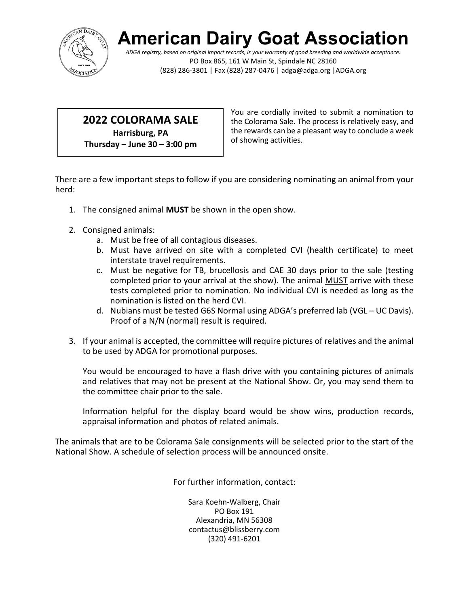

# **American Dairy Goat Associati**

*ADGA registry, based on original import records, is your warranty of good breeding and worldwide acceptance.* PO Box 865, 161 W Main St, Spindale NC 28160 (828) 286-3801 | Fax (828) 287-0476 | adga@adga.org |ADGA.org

#### **2022 COLORAMA SALE**

**Harrisburg, PA Thursday – June 30 – 3:00 pm** You are cordially invited to submit a nomination to the Colorama Sale. The process is relatively easy, and the rewards can be a pleasant way to conclude a week of showing activities.

There are a few important steps to follow if you are considering nominating an animal from your herd:

- 1. The consigned animal **MUST** be shown in the open show.
- 2. Consigned animals:
	- a. Must be free of all contagious diseases.
	- b. Must have arrived on site with a completed CVI (health certificate) to meet interstate travel requirements.
	- c. Must be negative for TB, brucellosis and CAE 30 days prior to the sale (testing completed prior to your arrival at the show). The animal MUST arrive with these tests completed prior to nomination. No individual CVI is needed as long as the nomination is listed on the herd CVI.
	- d. Nubians must be tested G6S Normal using ADGA's preferred lab (VGL UC Davis). Proof of a N/N (normal) result is required.
- 3. If your animal is accepted, the committee will require pictures of relatives and the animal to be used by ADGA for promotional purposes.

 You would be encouraged to have a flash drive with you containing pictures of animals and relatives that may not be present at the National Show. Or, you may send them to the committee chair prior to the sale.

 Information helpful for the display board would be show wins, production records, appraisal information and photos of related animals.

The animals that are to be Colorama Sale consignments will be selected prior to the start of the National Show. A schedule of selection process will be announced onsite.

For further information, contact:

Sara Koehn-Walberg, Chair PO Box 191 Alexandria, MN 56308 contactus@blissberry.com (320) 491-6201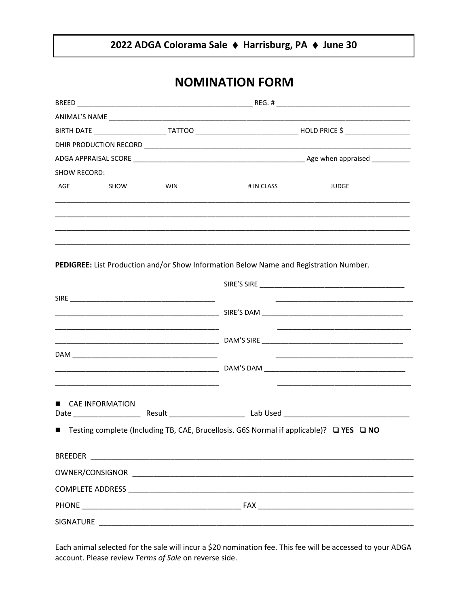### 2022 ADGA Colorama Sale ♦ Harrisburg, PA ♦ June 30

## **NOMINATION FORM**

| SHOW RECORD: |                        |            |                                                                                           |              |
|--------------|------------------------|------------|-------------------------------------------------------------------------------------------|--------------|
| AGE          | <b>SHOW</b>            | <b>WIN</b> | # IN CLASS                                                                                | <b>JUDGE</b> |
|              |                        |            |                                                                                           |              |
|              |                        |            |                                                                                           |              |
|              |                        |            | PEDIGREE: List Production and/or Show Information Below Name and Registration Number.     |              |
|              |                        |            |                                                                                           |              |
|              |                        |            |                                                                                           |              |
|              |                        |            |                                                                                           |              |
|              |                        |            |                                                                                           |              |
|              |                        |            |                                                                                           |              |
|              |                        |            |                                                                                           |              |
| п.           | <b>CAE INFORMATION</b> |            |                                                                                           |              |
|              |                        |            |                                                                                           |              |
|              |                        |            | ■ Testing complete (Including TB, CAE, Brucellosis. G6S Normal if applicable)? □ YES □ NO |              |
|              |                        |            |                                                                                           |              |
|              |                        |            |                                                                                           |              |
|              |                        |            |                                                                                           |              |
|              |                        |            |                                                                                           |              |
|              |                        |            |                                                                                           |              |

Each animal selected for the sale will incur a \$20 nomination fee. This fee will be accessed to your ADGA account. Please review Terms of Sale on reverse side.